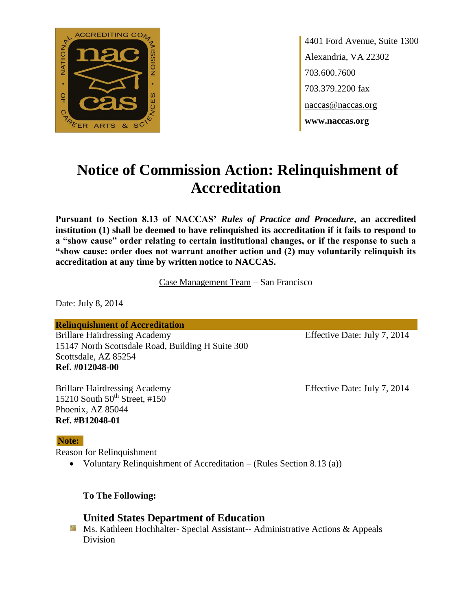

4401 Ford Avenue, Suite 1300 Alexandria, VA 22302 703.600.7600 703.379.2200 fax naccas@naccas.org **www.naccas.org**

# **Notice of Commission Action: Relinquishment of Accreditation**

**Pursuant to Section 8.13 of NACCAS'** *Rules of Practice and Procedure***, an accredited institution (1) shall be deemed to have relinquished its accreditation if it fails to respond to a "show cause" order relating to certain institutional changes, or if the response to such a "show cause: order does not warrant another action and (2) may voluntarily relinquish its accreditation at any time by written notice to NACCAS.**

Case Management Team – San Francisco

Date: July 8, 2014

**Relinquishment of Accreditation**

Brillare Hairdressing Academy Effective Date: July 7, 2014 15147 North Scottsdale Road, Building H Suite 300 Scottsdale, AZ 85254 **Ref. #012048-00**

Brillare Hairdressing Academy Effective Date: July 7, 2014 15210 South  $50^{th}$  Street, #150 Phoenix, AZ 85044 **Ref. #B12048-01**

#### **Note:**

Reason for Relinquishment

Voluntary Relinquishment of Accreditation – (Rules Section 8.13 (a))

**To The Following:**

## **United States Department of Education**

**Ms. Kathleen Hochhalter- Special Assistant-- Administrative Actions & Appeals** Division